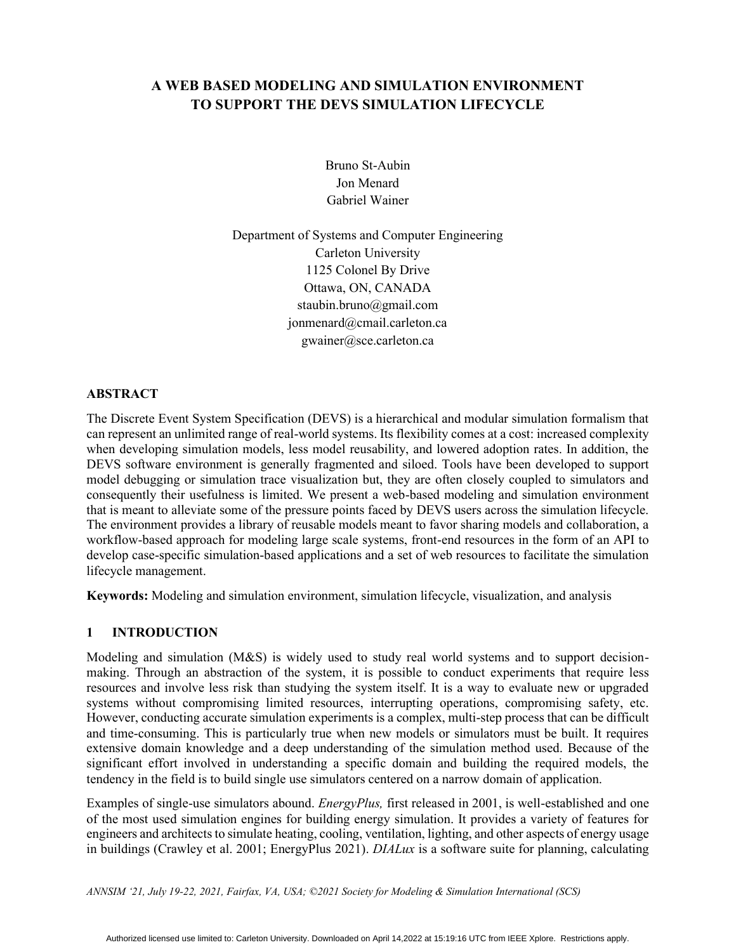# **A WEB BASED MODELING AND SIMULATION ENVIRONMENT TO SUPPORT THE DEVS SIMULATION LIFECYCLE**

Bruno St-Aubin Jon Menard Gabriel Wainer

Department of Systems and Computer Engineering Carleton University 1125 Colonel By Drive Ottawa, ON, CANADA staubin.bruno@gmail.com jonmenard@cmail.carleton.ca gwainer@sce.carleton.ca

## **ABSTRACT**

The Discrete Event System Specification (DEVS) is a hierarchical and modular simulation formalism that can represent an unlimited range of real-world systems. Its flexibility comes at a cost: increased complexity when developing simulation models, less model reusability, and lowered adoption rates. In addition, the DEVS software environment is generally fragmented and siloed. Tools have been developed to support model debugging or simulation trace visualization but, they are often closely coupled to simulators and consequently their usefulness is limited. We present a web-based modeling and simulation environment that is meant to alleviate some of the pressure points faced by DEVS users across the simulation lifecycle. The environment provides a library of reusable models meant to favor sharing models and collaboration, a workflow-based approach for modeling large scale systems, front-end resources in the form of an API to develop case-specific simulation-based applications and a set of web resources to facilitate the simulation lifecycle management.

**Keywords:** Modeling and simulation environment, simulation lifecycle, visualization, and analysis

# **1 INTRODUCTION**

Modeling and simulation (M&S) is widely used to study real world systems and to support decisionmaking. Through an abstraction of the system, it is possible to conduct experiments that require less resources and involve less risk than studying the system itself. It is a way to evaluate new or upgraded systems without compromising limited resources, interrupting operations, compromising safety, etc. However, conducting accurate simulation experiments is a complex, multi-step process that can be difficult and time-consuming. This is particularly true when new models or simulators must be built. It requires extensive domain knowledge and a deep understanding of the simulation method used. Because of the significant effort involved in understanding a specific domain and building the required models, the tendency in the field is to build single use simulators centered on a narrow domain of application.

Examples of single-use simulators abound. *EnergyPlus,* first released in 2001, is well-established and one of the most used simulation engines for building energy simulation. It provides a variety of features for engineers and architects to simulate heating, cooling, ventilation, lighting, and other aspects of energy usage in buildings (Crawley et al. 2001; EnergyPlus 2021). *DIALux* is a software suite for planning, calculating

*ANNSIM '21, July 19-22, 2021, Fairfax, VA, USA; ©2021 Society for Modeling & Simulation International (SCS)*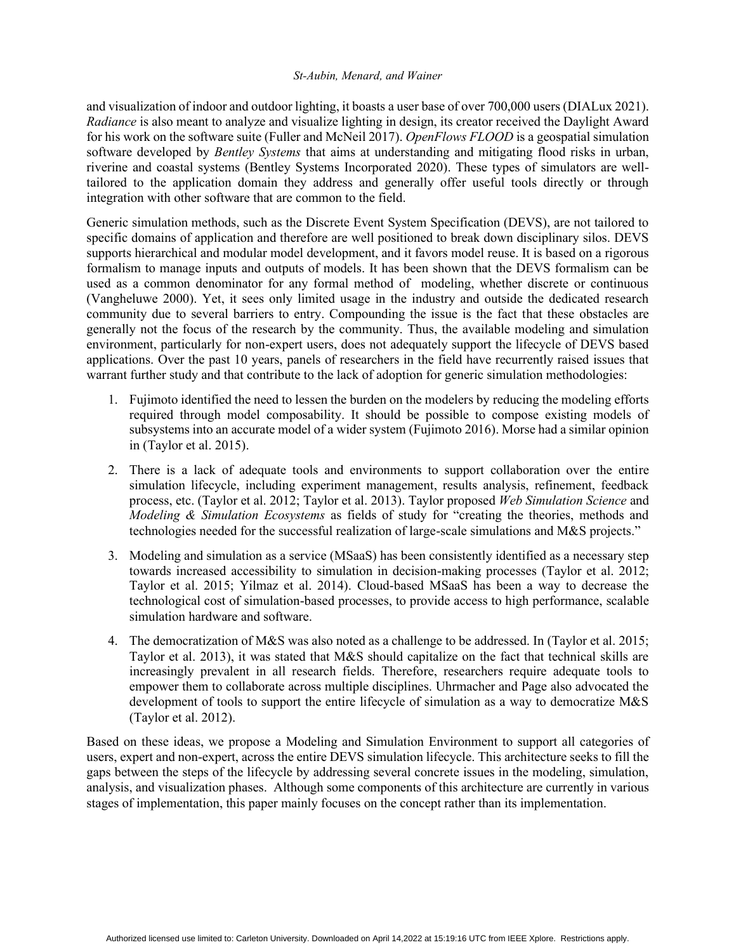and visualization of indoor and outdoor lighting, it boasts a user base of over 700,000 users (DIALux 2021). *Radiance* is also meant to analyze and visualize lighting in design, its creator received the Daylight Award for his work on the software suite (Fuller and McNeil 2017). *OpenFlows FLOOD* is a geospatial simulation software developed by *Bentley Systems* that aims at understanding and mitigating flood risks in urban, riverine and coastal systems (Bentley Systems Incorporated 2020). These types of simulators are welltailored to the application domain they address and generally offer useful tools directly or through integration with other software that are common to the field.

Generic simulation methods, such as the Discrete Event System Specification (DEVS), are not tailored to specific domains of application and therefore are well positioned to break down disciplinary silos. DEVS supports hierarchical and modular model development, and it favors model reuse. It is based on a rigorous formalism to manage inputs and outputs of models. It has been shown that the DEVS formalism can be used as a common denominator for any formal method of modeling, whether discrete or continuous (Vangheluwe 2000). Yet, it sees only limited usage in the industry and outside the dedicated research community due to several barriers to entry. Compounding the issue is the fact that these obstacles are generally not the focus of the research by the community. Thus, the available modeling and simulation environment, particularly for non-expert users, does not adequately support the lifecycle of DEVS based applications. Over the past 10 years, panels of researchers in the field have recurrently raised issues that warrant further study and that contribute to the lack of adoption for generic simulation methodologies:

- 1. Fujimoto identified the need to lessen the burden on the modelers by reducing the modeling efforts required through model composability. It should be possible to compose existing models of subsystems into an accurate model of a wider system (Fujimoto 2016). Morse had a similar opinion in (Taylor et al. 2015).
- 2. There is a lack of adequate tools and environments to support collaboration over the entire simulation lifecycle, including experiment management, results analysis, refinement, feedback process, etc. (Taylor et al. 2012; Taylor et al. 2013). Taylor proposed *Web Simulation Science* and *Modeling & Simulation Ecosystems* as fields of study for "creating the theories, methods and technologies needed for the successful realization of large-scale simulations and M&S projects."
- 3. Modeling and simulation as a service (MSaaS) has been consistently identified as a necessary step towards increased accessibility to simulation in decision-making processes (Taylor et al. 2012; Taylor et al. 2015; Yilmaz et al. 2014). Cloud-based MSaaS has been a way to decrease the technological cost of simulation-based processes, to provide access to high performance, scalable simulation hardware and software.
- 4. The democratization of M&S was also noted as a challenge to be addressed. In (Taylor et al. 2015; Taylor et al. 2013), it was stated that M&S should capitalize on the fact that technical skills are increasingly prevalent in all research fields. Therefore, researchers require adequate tools to empower them to collaborate across multiple disciplines. Uhrmacher and Page also advocated the development of tools to support the entire lifecycle of simulation as a way to democratize M&S (Taylor et al. 2012).

Based on these ideas, we propose a Modeling and Simulation Environment to support all categories of users, expert and non-expert, across the entire DEVS simulation lifecycle. This architecture seeks to fill the gaps between the steps of the lifecycle by addressing several concrete issues in the modeling, simulation, analysis, and visualization phases. Although some components of this architecture are currently in various stages of implementation, this paper mainly focuses on the concept rather than its implementation.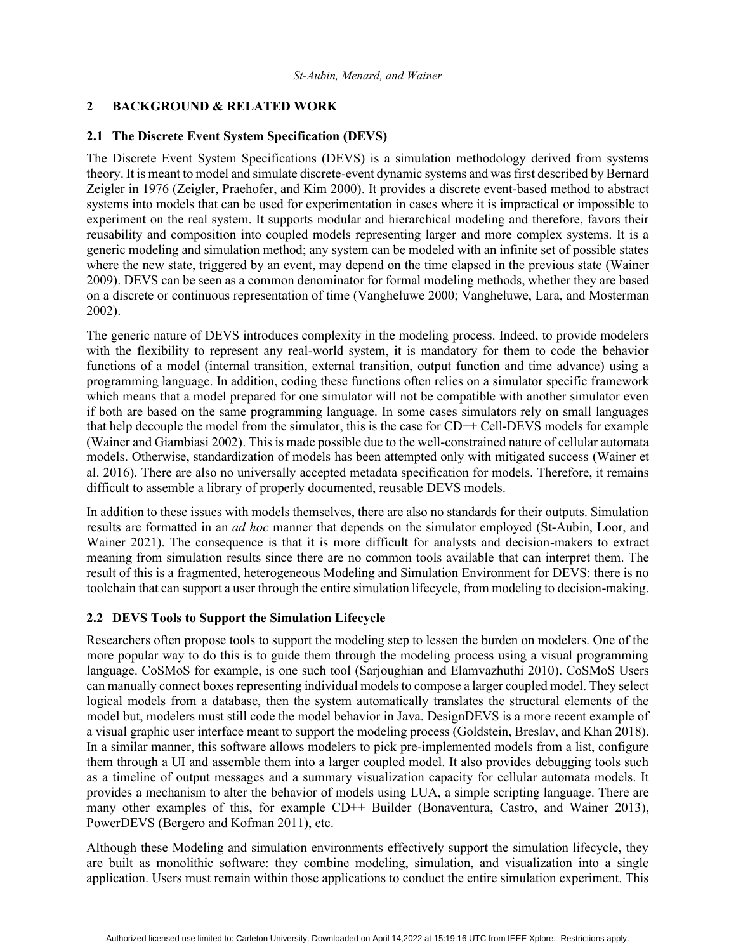## **2 BACKGROUND & RELATED WORK**

## **2.1 The Discrete Event System Specification (DEVS)**

The Discrete Event System Specifications (DEVS) is a simulation methodology derived from systems theory. It is meant to model and simulate discrete-event dynamic systems and was first described by Bernard Zeigler in 1976 (Zeigler, Praehofer, and Kim 2000). It provides a discrete event-based method to abstract systems into models that can be used for experimentation in cases where it is impractical or impossible to experiment on the real system. It supports modular and hierarchical modeling and therefore, favors their reusability and composition into coupled models representing larger and more complex systems. It is a generic modeling and simulation method; any system can be modeled with an infinite set of possible states where the new state, triggered by an event, may depend on the time elapsed in the previous state (Wainer 2009). DEVS can be seen as a common denominator for formal modeling methods, whether they are based on a discrete or continuous representation of time (Vangheluwe 2000; Vangheluwe, Lara, and Mosterman 2002).

The generic nature of DEVS introduces complexity in the modeling process. Indeed, to provide modelers with the flexibility to represent any real-world system, it is mandatory for them to code the behavior functions of a model (internal transition, external transition, output function and time advance) using a programming language. In addition, coding these functions often relies on a simulator specific framework which means that a model prepared for one simulator will not be compatible with another simulator even if both are based on the same programming language. In some cases simulators rely on small languages that help decouple the model from the simulator, this is the case for CD++ Cell-DEVS models for example (Wainer and Giambiasi 2002). This is made possible due to the well-constrained nature of cellular automata models. Otherwise, standardization of models has been attempted only with mitigated success (Wainer et al. 2016). There are also no universally accepted metadata specification for models. Therefore, it remains difficult to assemble a library of properly documented, reusable DEVS models.

In addition to these issues with models themselves, there are also no standards for their outputs. Simulation results are formatted in an *ad hoc* manner that depends on the simulator employed (St-Aubin, Loor, and Wainer 2021). The consequence is that it is more difficult for analysts and decision-makers to extract meaning from simulation results since there are no common tools available that can interpret them. The result of this is a fragmented, heterogeneous Modeling and Simulation Environment for DEVS: there is no toolchain that can support a user through the entire simulation lifecycle, from modeling to decision-making.

## **2.2 DEVS Tools to Support the Simulation Lifecycle**

Researchers often propose tools to support the modeling step to lessen the burden on modelers. One of the more popular way to do this is to guide them through the modeling process using a visual programming language. CoSMoS for example, is one such tool (Sarjoughian and Elamvazhuthi 2010). CoSMoS Users can manually connect boxes representing individual models to compose a larger coupled model. They select logical models from a database, then the system automatically translates the structural elements of the model but, modelers must still code the model behavior in Java. DesignDEVS is a more recent example of a visual graphic user interface meant to support the modeling process (Goldstein, Breslav, and Khan 2018). In a similar manner, this software allows modelers to pick pre-implemented models from a list, configure them through a UI and assemble them into a larger coupled model. It also provides debugging tools such as a timeline of output messages and a summary visualization capacity for cellular automata models. It provides a mechanism to alter the behavior of models using LUA, a simple scripting language. There are many other examples of this, for example CD++ Builder (Bonaventura, Castro, and Wainer 2013), PowerDEVS (Bergero and Kofman 2011), etc.

Although these Modeling and simulation environments effectively support the simulation lifecycle, they are built as monolithic software: they combine modeling, simulation, and visualization into a single application. Users must remain within those applications to conduct the entire simulation experiment. This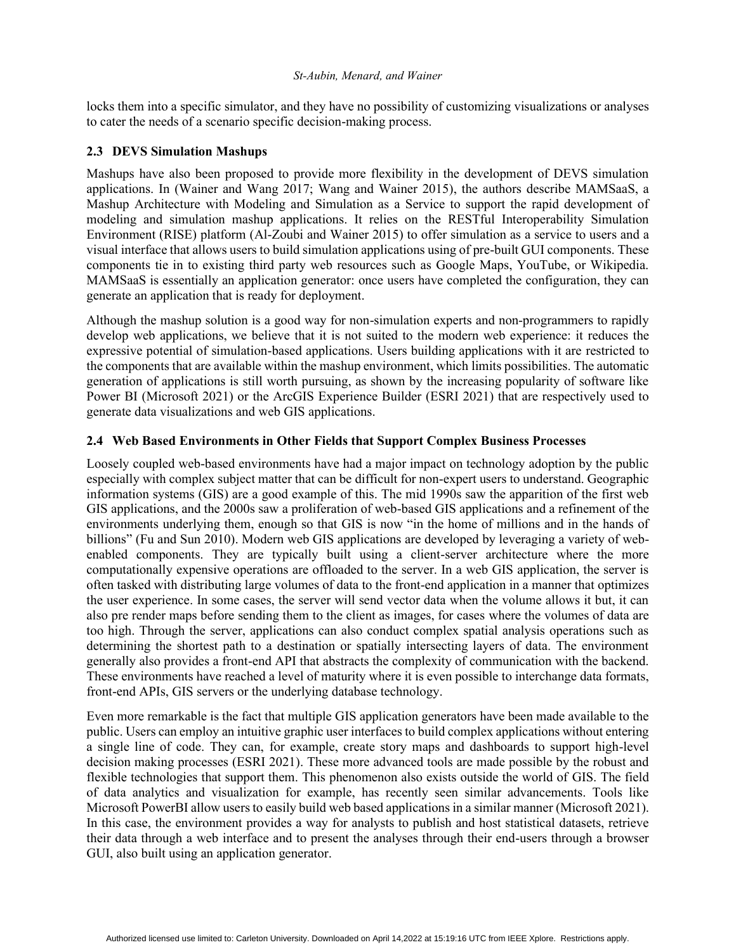locks them into a specific simulator, and they have no possibility of customizing visualizations or analyses to cater the needs of a scenario specific decision-making process.

## **2.3 DEVS Simulation Mashups**

Mashups have also been proposed to provide more flexibility in the development of DEVS simulation applications. In (Wainer and Wang 2017; Wang and Wainer 2015), the authors describe MAMSaaS, a Mashup Architecture with Modeling and Simulation as a Service to support the rapid development of modeling and simulation mashup applications. It relies on the RESTful Interoperability Simulation Environment (RISE) platform (Al-Zoubi and Wainer 2015) to offer simulation as a service to users and a visual interface that allows users to build simulation applications using of pre-built GUI components. These components tie in to existing third party web resources such as Google Maps, YouTube, or Wikipedia. MAMSaaS is essentially an application generator: once users have completed the configuration, they can generate an application that is ready for deployment.

Although the mashup solution is a good way for non-simulation experts and non-programmers to rapidly develop web applications, we believe that it is not suited to the modern web experience: it reduces the expressive potential of simulation-based applications. Users building applications with it are restricted to the components that are available within the mashup environment, which limits possibilities. The automatic generation of applications is still worth pursuing, as shown by the increasing popularity of software like Power BI (Microsoft 2021) or the ArcGIS Experience Builder (ESRI 2021) that are respectively used to generate data visualizations and web GIS applications.

## **2.4 Web Based Environments in Other Fields that Support Complex Business Processes**

Loosely coupled web-based environments have had a major impact on technology adoption by the public especially with complex subject matter that can be difficult for non-expert users to understand. Geographic information systems (GIS) are a good example of this. The mid 1990s saw the apparition of the first web GIS applications, and the 2000s saw a proliferation of web-based GIS applications and a refinement of the environments underlying them, enough so that GIS is now "in the home of millions and in the hands of billions" (Fu and Sun 2010). Modern web GIS applications are developed by leveraging a variety of webenabled components. They are typically built using a client-server architecture where the more computationally expensive operations are offloaded to the server. In a web GIS application, the server is often tasked with distributing large volumes of data to the front-end application in a manner that optimizes the user experience. In some cases, the server will send vector data when the volume allows it but, it can also pre render maps before sending them to the client as images, for cases where the volumes of data are too high. Through the server, applications can also conduct complex spatial analysis operations such as determining the shortest path to a destination or spatially intersecting layers of data. The environment generally also provides a front-end API that abstracts the complexity of communication with the backend. These environments have reached a level of maturity where it is even possible to interchange data formats, front-end APIs, GIS servers or the underlying database technology.

Even more remarkable is the fact that multiple GIS application generators have been made available to the public. Users can employ an intuitive graphic user interfaces to build complex applications without entering a single line of code. They can, for example, create story maps and dashboards to support high-level decision making processes (ESRI 2021). These more advanced tools are made possible by the robust and flexible technologies that support them. This phenomenon also exists outside the world of GIS. The field of data analytics and visualization for example, has recently seen similar advancements. Tools like Microsoft PowerBI allow users to easily build web based applications in a similar manner (Microsoft 2021). In this case, the environment provides a way for analysts to publish and host statistical datasets, retrieve their data through a web interface and to present the analyses through their end-users through a browser GUI, also built using an application generator.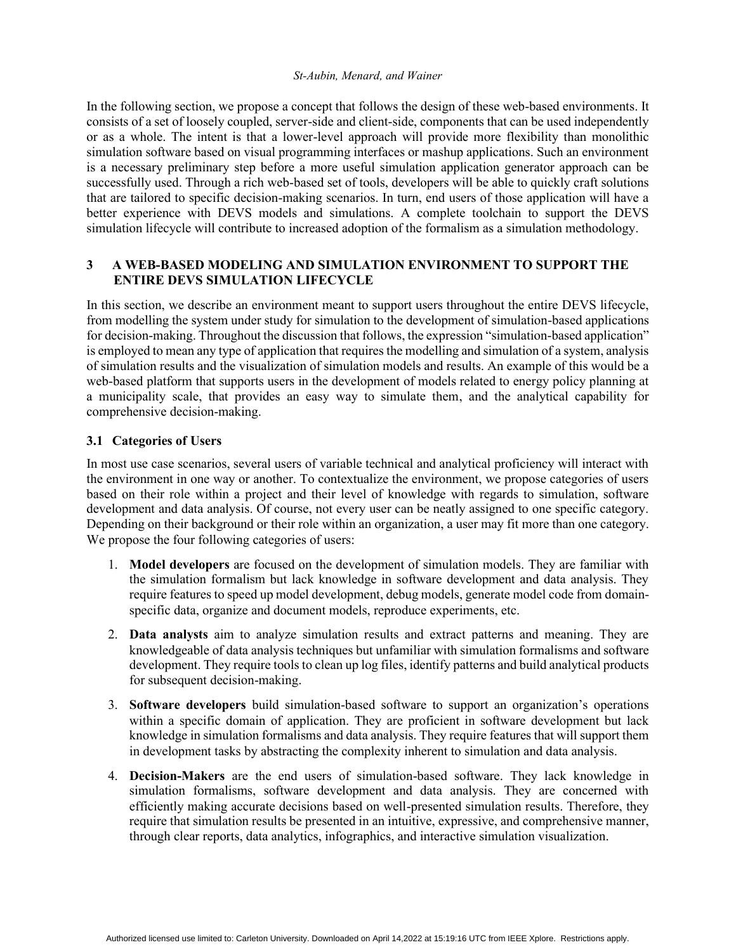In the following section, we propose a concept that follows the design of these web-based environments. It consists of a set of loosely coupled, server-side and client-side, components that can be used independently or as a whole. The intent is that a lower-level approach will provide more flexibility than monolithic simulation software based on visual programming interfaces or mashup applications. Such an environment is a necessary preliminary step before a more useful simulation application generator approach can be successfully used. Through a rich web-based set of tools, developers will be able to quickly craft solutions that are tailored to specific decision-making scenarios. In turn, end users of those application will have a better experience with DEVS models and simulations. A complete toolchain to support the DEVS simulation lifecycle will contribute to increased adoption of the formalism as a simulation methodology.

# **3 A WEB-BASED MODELING AND SIMULATION ENVIRONMENT TO SUPPORT THE ENTIRE DEVS SIMULATION LIFECYCLE**

In this section, we describe an environment meant to support users throughout the entire DEVS lifecycle, from modelling the system under study for simulation to the development of simulation-based applications for decision-making. Throughout the discussion that follows, the expression "simulation-based application" is employed to mean any type of application that requires the modelling and simulation of a system, analysis of simulation results and the visualization of simulation models and results. An example of this would be a web-based platform that supports users in the development of models related to energy policy planning at a municipality scale, that provides an easy way to simulate them, and the analytical capability for comprehensive decision-making.

## **3.1 Categories of Users**

In most use case scenarios, several users of variable technical and analytical proficiency will interact with the environment in one way or another. To contextualize the environment, we propose categories of users based on their role within a project and their level of knowledge with regards to simulation, software development and data analysis. Of course, not every user can be neatly assigned to one specific category. Depending on their background or their role within an organization, a user may fit more than one category. We propose the four following categories of users:

- 1. **Model developers** are focused on the development of simulation models. They are familiar with the simulation formalism but lack knowledge in software development and data analysis. They require features to speed up model development, debug models, generate model code from domainspecific data, organize and document models, reproduce experiments, etc.
- 2. **Data analysts** aim to analyze simulation results and extract patterns and meaning. They are knowledgeable of data analysis techniques but unfamiliar with simulation formalisms and software development. They require tools to clean up log files, identify patterns and build analytical products for subsequent decision-making.
- 3. **Software developers** build simulation-based software to support an organization's operations within a specific domain of application. They are proficient in software development but lack knowledge in simulation formalisms and data analysis. They require features that will support them in development tasks by abstracting the complexity inherent to simulation and data analysis.
- 4. **Decision-Makers** are the end users of simulation-based software. They lack knowledge in simulation formalisms, software development and data analysis. They are concerned with efficiently making accurate decisions based on well-presented simulation results. Therefore, they require that simulation results be presented in an intuitive, expressive, and comprehensive manner, through clear reports, data analytics, infographics, and interactive simulation visualization.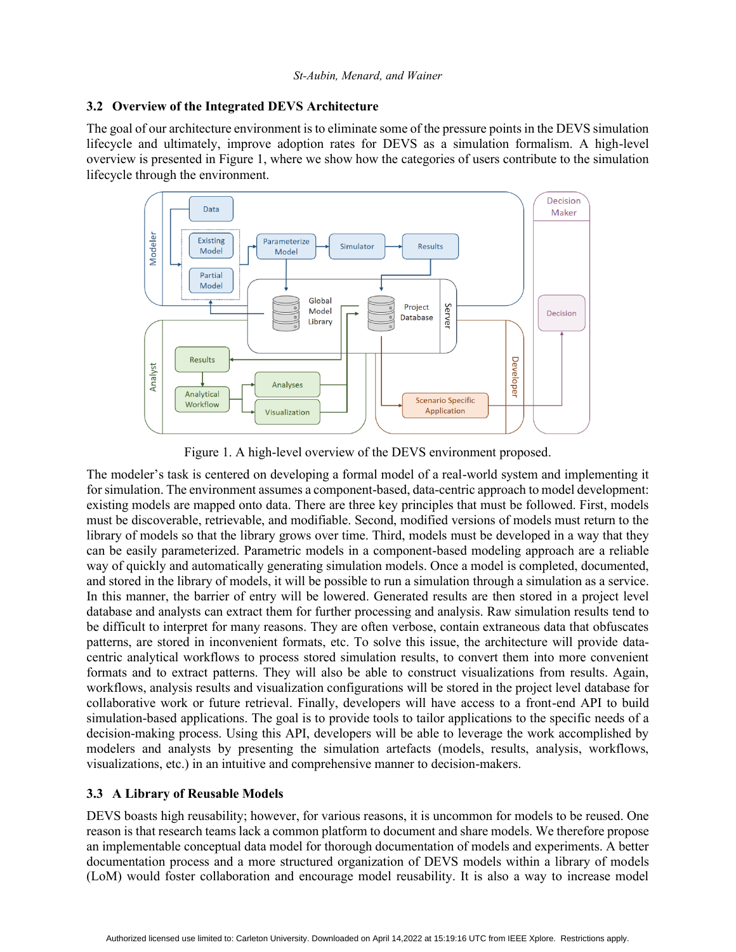## **3.2 Overview of the Integrated DEVS Architecture**

The goal of our architecture environment is to eliminate some of the pressure points in the DEVS simulation lifecycle and ultimately, improve adoption rates for DEVS as a simulation formalism. A high-level overview is presented in Figure 1, where we show how the categories of users contribute to the simulation lifecycle through the environment.



Figure 1. A high-level overview of the DEVS environment proposed.

The modeler's task is centered on developing a formal model of a real-world system and implementing it for simulation. The environment assumes a component-based, data-centric approach to model development: existing models are mapped onto data. There are three key principles that must be followed. First, models must be discoverable, retrievable, and modifiable. Second, modified versions of models must return to the library of models so that the library grows over time. Third, models must be developed in a way that they can be easily parameterized. Parametric models in a component-based modeling approach are a reliable way of quickly and automatically generating simulation models. Once a model is completed, documented, and stored in the library of models, it will be possible to run a simulation through a simulation as a service. In this manner, the barrier of entry will be lowered. Generated results are then stored in a project level database and analysts can extract them for further processing and analysis. Raw simulation results tend to be difficult to interpret for many reasons. They are often verbose, contain extraneous data that obfuscates patterns, are stored in inconvenient formats, etc. To solve this issue, the architecture will provide datacentric analytical workflows to process stored simulation results, to convert them into more convenient formats and to extract patterns. They will also be able to construct visualizations from results. Again, workflows, analysis results and visualization configurations will be stored in the project level database for collaborative work or future retrieval. Finally, developers will have access to a front-end API to build simulation-based applications. The goal is to provide tools to tailor applications to the specific needs of a decision-making process. Using this API, developers will be able to leverage the work accomplished by modelers and analysts by presenting the simulation artefacts (models, results, analysis, workflows, visualizations, etc.) in an intuitive and comprehensive manner to decision-makers.

# **3.3 A Library of Reusable Models**

DEVS boasts high reusability; however, for various reasons, it is uncommon for models to be reused. One reason is that research teams lack a common platform to document and share models. We therefore propose an implementable conceptual data model for thorough documentation of models and experiments. A better documentation process and a more structured organization of DEVS models within a library of models (LoM) would foster collaboration and encourage model reusability. It is also a way to increase model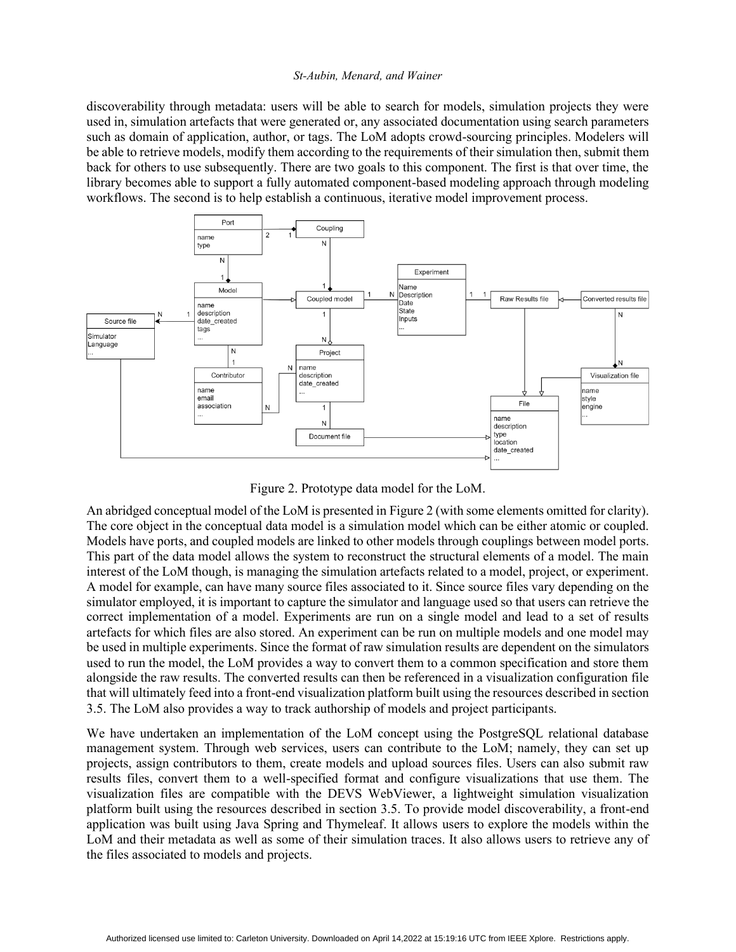discoverability through metadata: users will be able to search for models, simulation projects they were used in, simulation artefacts that were generated or, any associated documentation using search parameters such as domain of application, author, or tags. The LoM adopts crowd-sourcing principles. Modelers will be able to retrieve models, modify them according to the requirements of their simulation then, submit them back for others to use subsequently. There are two goals to this component. The first is that over time, the library becomes able to support a fully automated component-based modeling approach through modeling workflows. The second is to help establish a continuous, iterative model improvement process.



Figure 2. Prototype data model for the LoM.

An abridged conceptual model of the LoM is presented in Figure 2 (with some elements omitted for clarity). The core object in the conceptual data model is a simulation model which can be either atomic or coupled. Models have ports, and coupled models are linked to other models through couplings between model ports. This part of the data model allows the system to reconstruct the structural elements of a model. The main interest of the LoM though, is managing the simulation artefacts related to a model, project, or experiment. A model for example, can have many source files associated to it. Since source files vary depending on the simulator employed, it is important to capture the simulator and language used so that users can retrieve the correct implementation of a model. Experiments are run on a single model and lead to a set of results artefacts for which files are also stored. An experiment can be run on multiple models and one model may be used in multiple experiments. Since the format of raw simulation results are dependent on the simulators used to run the model, the LoM provides a way to convert them to a common specification and store them alongside the raw results. The converted results can then be referenced in a visualization configuration file that will ultimately feed into a front-end visualization platform built using the resources described in section 3.5. The LoM also provides a way to track authorship of models and project participants.

We have undertaken an implementation of the LoM concept using the PostgreSQL relational database management system. Through web services, users can contribute to the LoM; namely, they can set up projects, assign contributors to them, create models and upload sources files. Users can also submit raw results files, convert them to a well-specified format and configure visualizations that use them. The visualization files are compatible with the DEVS WebViewer, a lightweight simulation visualization platform built using the resources described in section 3.5. To provide model discoverability, a front-end application was built using Java Spring and Thymeleaf. It allows users to explore the models within the LoM and their metadata as well as some of their simulation traces. It also allows users to retrieve any of the files associated to models and projects.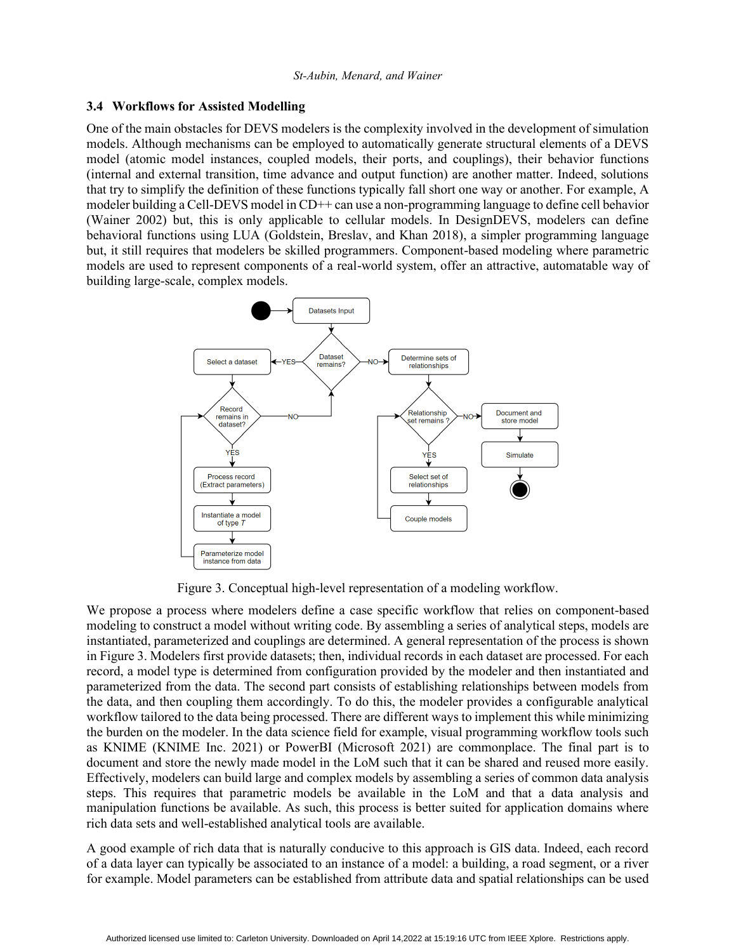### **3.4 Workflows for Assisted Modelling**

One of the main obstacles for DEVS modelers is the complexity involved in the development of simulation models. Although mechanisms can be employed to automatically generate structural elements of a DEVS model (atomic model instances, coupled models, their ports, and couplings), their behavior functions (internal and external transition, time advance and output function) are another matter. Indeed, solutions that try to simplify the definition of these functions typically fall short one way or another. For example, A modeler building a Cell-DEVS model in CD++ can use a non-programming language to define cell behavior (Wainer 2002) but, this is only applicable to cellular models. In DesignDEVS, modelers can define behavioral functions using LUA (Goldstein, Breslav, and Khan 2018), a simpler programming language but, it still requires that modelers be skilled programmers. Component-based modeling where parametric models are used to represent components of a real-world system, offer an attractive, automatable way of building large-scale, complex models.



Figure 3. Conceptual high-level representation of a modeling workflow.

We propose a process where modelers define a case specific workflow that relies on component-based modeling to construct a model without writing code. By assembling a series of analytical steps, models are instantiated, parameterized and couplings are determined. A general representation of the process is shown in Figure 3. Modelers first provide datasets; then, individual records in each dataset are processed. For each record, a model type is determined from configuration provided by the modeler and then instantiated and parameterized from the data. The second part consists of establishing relationships between models from the data, and then coupling them accordingly. To do this, the modeler provides a configurable analytical workflow tailored to the data being processed. There are different ways to implement this while minimizing the burden on the modeler. In the data science field for example, visual programming workflow tools such as KNIME (KNIME Inc. 2021) or PowerBI (Microsoft 2021) are commonplace. The final part is to document and store the newly made model in the LoM such that it can be shared and reused more easily. Effectively, modelers can build large and complex models by assembling a series of common data analysis steps. This requires that parametric models be available in the LoM and that a data analysis and manipulation functions be available. As such, this process is better suited for application domains where rich data sets and well-established analytical tools are available.

A good example of rich data that is naturally conducive to this approach is GIS data. Indeed, each record of a data layer can typically be associated to an instance of a model: a building, a road segment, or a river for example. Model parameters can be established from attribute data and spatial relationships can be used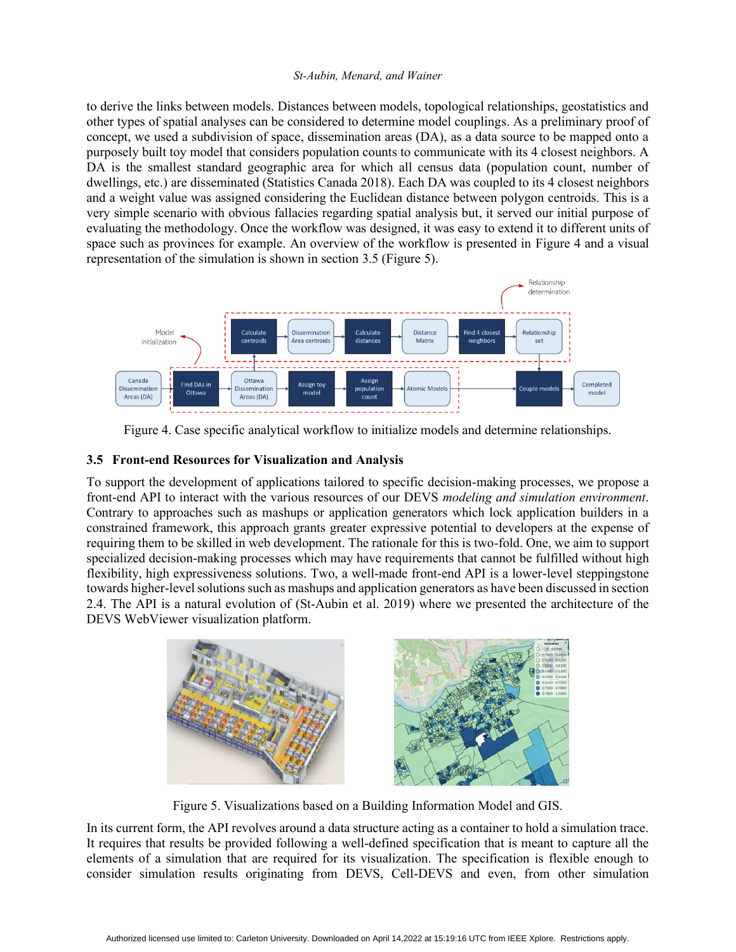to derive the links between models. Distances between models, topological relationships, geostatistics and other types of spatial analyses can be considered to determine model couplings. As a preliminary proof of concept, we used a subdivision of space, dissemination areas (DA), as a data source to be mapped onto a purposely built toy model that considers population counts to communicate with its 4 closest neighbors. A DA is the smallest standard geographic area for which all census data (population count, number of dwellings, etc.) are disseminated (Statistics Canada 2018). Each DA was coupled to its 4 closest neighbors and a weight value was assigned considering the Euclidean distance between polygon centroids. This is a very simple scenario with obvious fallacies regarding spatial analysis but, it served our initial purpose of evaluating the methodology. Once the workflow was designed, it was easy to extend it to different units of space such as provinces for example. An overview of the workflow is presented in Figure 4 and a visual representation of the simulation is shown in section 3.5 (Figure 5).



Figure 4. Case specific analytical workflow to initialize models and determine relationships.

# **3.5 Front-end Resources for Visualization and Analysis**

To support the development of applications tailored to specific decision-making processes, we propose a front-end API to interact with the various resources of our DEVS *modeling and simulation environment*. Contrary to approaches such as mashups or application generators which lock application builders in a constrained framework, this approach grants greater expressive potential to developers at the expense of requiring them to be skilled in web development. The rationale for this is two-fold. One, we aim to support specialized decision-making processes which may have requirements that cannot be fulfilled without high flexibility, high expressiveness solutions. Two, a well-made front-end API is a lower-level steppingstone towards higher-level solutions such as mashups and application generators as have been discussed in section 2.4. The API is a natural evolution of (St-Aubin et al. 2019) where we presented the architecture of the DEVS WebViewer visualization platform.



Figure 5. Visualizations based on a Building Information Model and GIS.

In its current form, the API revolves around a data structure acting as a container to hold a simulation trace. It requires that results be provided following a well-defined specification that is meant to capture all the elements of a simulation that are required for its visualization. The specification is flexible enough to consider simulation results originating from DEVS, Cell-DEVS and even, from other simulation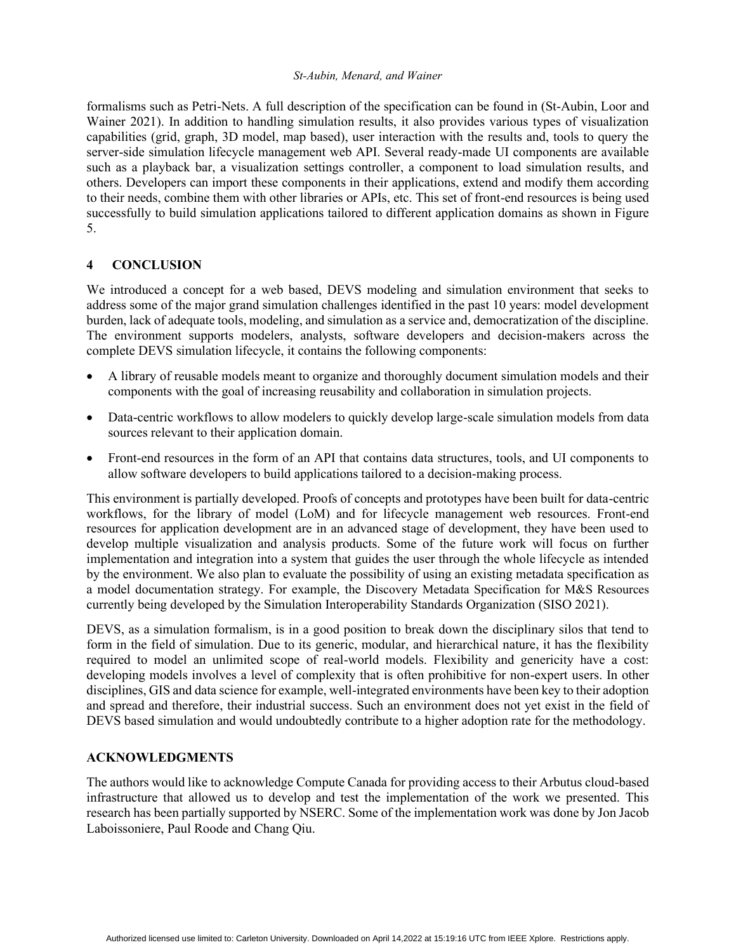formalisms such as Petri-Nets. A full description of the specification can be found in (St-Aubin, Loor and Wainer 2021). In addition to handling simulation results, it also provides various types of visualization capabilities (grid, graph, 3D model, map based), user interaction with the results and, tools to query the server-side simulation lifecycle management web API. Several ready-made UI components are available such as a playback bar, a visualization settings controller, a component to load simulation results, and others. Developers can import these components in their applications, extend and modify them according to their needs, combine them with other libraries or APIs, etc. This set of front-end resources is being used successfully to build simulation applications tailored to different application domains as shown in Figure 5.

## **4 CONCLUSION**

We introduced a concept for a web based, DEVS modeling and simulation environment that seeks to address some of the major grand simulation challenges identified in the past 10 years: model development burden, lack of adequate tools, modeling, and simulation as a service and, democratization of the discipline. The environment supports modelers, analysts, software developers and decision-makers across the complete DEVS simulation lifecycle, it contains the following components:

- A library of reusable models meant to organize and thoroughly document simulation models and their components with the goal of increasing reusability and collaboration in simulation projects.
- Data-centric workflows to allow modelers to quickly develop large-scale simulation models from data sources relevant to their application domain.
- Front-end resources in the form of an API that contains data structures, tools, and UI components to allow software developers to build applications tailored to a decision-making process.

This environment is partially developed. Proofs of concepts and prototypes have been built for data-centric workflows, for the library of model (LoM) and for lifecycle management web resources. Front-end resources for application development are in an advanced stage of development, they have been used to develop multiple visualization and analysis products. Some of the future work will focus on further implementation and integration into a system that guides the user through the whole lifecycle as intended by the environment. We also plan to evaluate the possibility of using an existing metadata specification as a model documentation strategy. For example, the Discovery Metadata Specification for M&S Resources currently being developed by the Simulation Interoperability Standards Organization (SISO 2021).

DEVS, as a simulation formalism, is in a good position to break down the disciplinary silos that tend to form in the field of simulation. Due to its generic, modular, and hierarchical nature, it has the flexibility required to model an unlimited scope of real-world models. Flexibility and genericity have a cost: developing models involves a level of complexity that is often prohibitive for non-expert users. In other disciplines, GIS and data science for example, well-integrated environments have been key to their adoption and spread and therefore, their industrial success. Such an environment does not yet exist in the field of DEVS based simulation and would undoubtedly contribute to a higher adoption rate for the methodology.

## **ACKNOWLEDGMENTS**

The authors would like to acknowledge Compute Canada for providing access to their Arbutus cloud-based infrastructure that allowed us to develop and test the implementation of the work we presented. This research has been partially supported by NSERC. Some of the implementation work was done by Jon Jacob Laboissoniere, Paul Roode and Chang Qiu.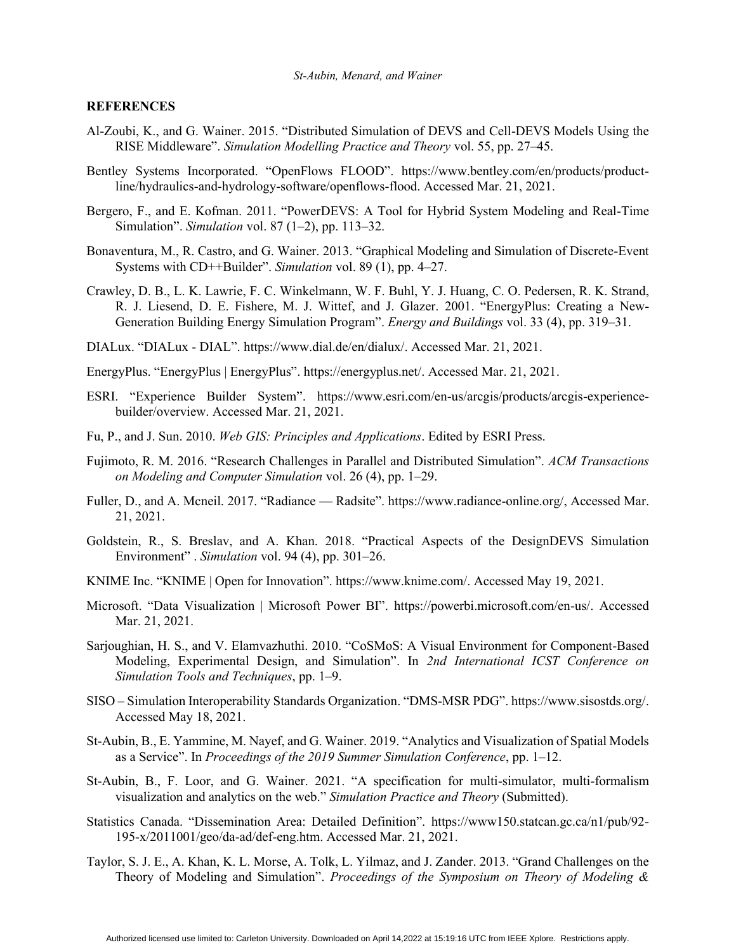## **REFERENCES**

- Al-Zoubi, K., and G. Wainer. 2015. "Distributed Simulation of DEVS and Cell-DEVS Models Using the RISE Middleware". *Simulation Modelling Practice and Theory* vol. 55, pp. 27–45.
- Bentley Systems Incorporated. "OpenFlows FLOOD". https://www.bentley.com/en/products/productline/hydraulics-and-hydrology-software/openflows-flood. Accessed Mar. 21, 2021.
- Bergero, F., and E. Kofman. 2011. "PowerDEVS: A Tool for Hybrid System Modeling and Real-Time Simulation". *Simulation* vol. 87 (1–2), pp. 113–32.
- Bonaventura, M., R. Castro, and G. Wainer. 2013. "Graphical Modeling and Simulation of Discrete-Event Systems with CD++Builder". *Simulation* vol. 89 (1), pp. 4–27.
- Crawley, D. B., L. K. Lawrie, F. C. Winkelmann, W. F. Buhl, Y. J. Huang, C. O. Pedersen, R. K. Strand, R. J. Liesend, D. E. Fishere, M. J. Wittef, and J. Glazer. 2001. "EnergyPlus: Creating a New-Generation Building Energy Simulation Program". *Energy and Buildings* vol. 33 (4), pp. 319–31.
- DIALux. "DIALux DIAL". https://www.dial.de/en/dialux/. Accessed Mar. 21, 2021.
- EnergyPlus. "EnergyPlus | EnergyPlus". https://energyplus.net/. Accessed Mar. 21, 2021.
- ESRI. "Experience Builder System". https://www.esri.com/en-us/arcgis/products/arcgis-experiencebuilder/overview. Accessed Mar. 21, 2021.
- Fu, P., and J. Sun. 2010. *Web GIS: Principles and Applications*. Edited by ESRI Press.
- Fujimoto, R. M. 2016. "Research Challenges in Parallel and Distributed Simulation". *ACM Transactions on Modeling and Computer Simulation* vol. 26 (4), pp. 1–29.
- Fuller, D., and A. Mcneil. 2017. "Radiance Radsite". https://www.radiance-online.org/, Accessed Mar. 21, 2021.
- Goldstein, R., S. Breslav, and A. Khan. 2018. "Practical Aspects of the DesignDEVS Simulation Environment" . *Simulation* vol. 94 (4), pp. 301–26.
- KNIME Inc. "KNIME | Open for Innovation". https://www.knime.com/. Accessed May 19, 2021.
- Microsoft. "Data Visualization | Microsoft Power BI". https://powerbi.microsoft.com/en-us/. Accessed Mar. 21, 2021.
- Sarjoughian, H. S., and V. Elamvazhuthi. 2010. "CoSMoS: A Visual Environment for Component-Based Modeling, Experimental Design, and Simulation". In *2nd International ICST Conference on Simulation Tools and Techniques*, pp. 1–9.
- SISO Simulation Interoperability Standards Organization. "DMS-MSR PDG". https://www.sisostds.org/. Accessed May 18, 2021.
- St-Aubin, B., E. Yammine, M. Nayef, and G. Wainer. 2019. "Analytics and Visualization of Spatial Models as a Service". In *Proceedings of the 2019 Summer Simulation Conference*, pp. 1–12.
- St-Aubin, B., F. Loor, and G. Wainer. 2021. "A specification for multi-simulator, multi-formalism visualization and analytics on the web." *Simulation Practice and Theory* (Submitted).
- Statistics Canada. "Dissemination Area: Detailed Definition". https://www150.statcan.gc.ca/n1/pub/92- 195-x/2011001/geo/da-ad/def-eng.htm. Accessed Mar. 21, 2021.
- Taylor, S. J. E., A. Khan, K. L. Morse, A. Tolk, L. Yilmaz, and J. Zander. 2013. "Grand Challenges on the Theory of Modeling and Simulation". *Proceedings of the Symposium on Theory of Modeling &*